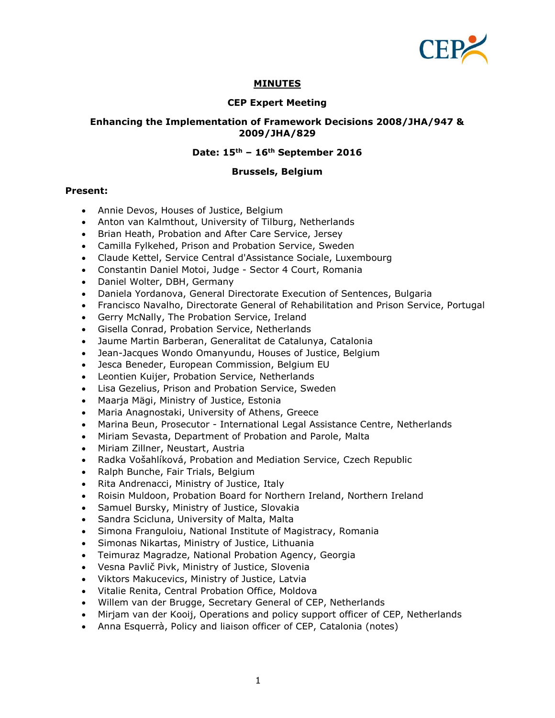

## **MINUTES**

#### **CEP Expert Meeting**

#### **Enhancing the Implementation of Framework Decisions 2008/JHA/947 & 2009/JHA/829**

#### **Date: 15th – 16th September 2016**

#### **Brussels, Belgium**

#### **Present:**

- Annie Devos, Houses of Justice, Belgium
- Anton van Kalmthout, University of Tilburg, Netherlands
- Brian Heath, Probation and After Care Service, Jersey
- Camilla Fylkehed, Prison and Probation Service, Sweden
- Claude Kettel, Service Central d'Assistance Sociale, Luxembourg
- Constantin Daniel Motoi, Judge Sector 4 Court, Romania
- Daniel Wolter, DBH, Germany
- Daniela Yordanova, General Directorate Execution of Sentences, Bulgaria
- Francisco Navalho, Directorate General of Rehabilitation and Prison Service, Portugal
- Gerry McNally, The Probation Service, Ireland
- Gisella Conrad, Probation Service, Netherlands
- Jaume Martin Barberan, Generalitat de Catalunya, Catalonia
- Jean-Jacques Wondo Omanyundu, Houses of Justice, Belgium
- Jesca Beneder, European Commission, Belgium EU
- Leontien Kuijer, Probation Service, Netherlands
- Lisa Gezelius, Prison and Probation Service, Sweden
- Maarja Mägi, Ministry of Justice, Estonia
- Maria Anagnostaki, University of Athens, Greece
- Marina Beun, Prosecutor International Legal Assistance Centre, Netherlands
- Miriam Sevasta, Department of Probation and Parole, Malta
- Miriam Zillner, Neustart, Austria
- Radka Vošahlíková, Probation and Mediation Service, Czech Republic
- Ralph Bunche, Fair Trials, Belgium
- Rita Andrenacci, Ministry of Justice, Italy
- Roisin Muldoon, Probation Board for Northern Ireland, Northern Ireland
- Samuel Bursky, Ministry of Justice, Slovakia
- Sandra Scicluna, University of Malta, Malta
- Simona Franguloiu, National Institute of Magistracy, Romania
- Simonas Nikartas, Ministry of Justice, Lithuania
- Teimuraz Magradze, National Probation Agency, Georgia
- Vesna Pavlič Pivk, Ministry of Justice, Slovenia
- Viktors Makucevics, Ministry of Justice, Latvia
- Vitalie Renita, Central Probation Office, Moldova
- Willem van der Brugge, Secretary General of CEP, Netherlands
- Mirjam van der Kooij, Operations and policy support officer of CEP, Netherlands
- Anna Esquerrà, Policy and liaison officer of CEP, Catalonia (notes)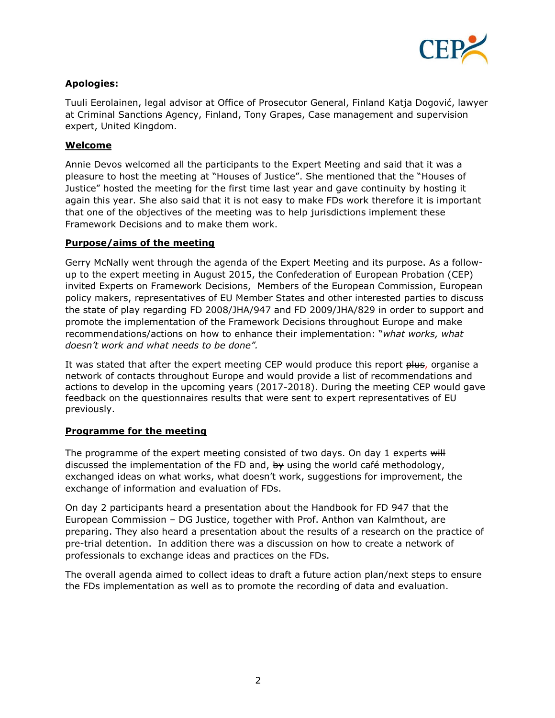

# **Apologies:**

Tuuli Eerolainen, legal advisor at Office of Prosecutor General, Finland Katja Dogović, lawyer at Criminal Sanctions Agency, Finland, Tony Grapes, Case management and supervision expert, United Kingdom.

# **Welcome**

Annie Devos welcomed all the participants to the Expert Meeting and said that it was a pleasure to host the meeting at "Houses of Justice". She mentioned that the "Houses of Justice" hosted the meeting for the first time last year and gave continuity by hosting it again this year. She also said that it is not easy to make FDs work therefore it is important that one of the objectives of the meeting was to help jurisdictions implement these Framework Decisions and to make them work.

## **Purpose/aims of the meeting**

Gerry McNally went through the agenda of the Expert Meeting and its purpose. As a followup to the expert meeting in August 2015, the Confederation of European Probation (CEP) invited Experts on Framework Decisions, Members of the European Commission, European policy makers, representatives of EU Member States and other interested parties to discuss the state of play regarding FD 2008/JHA/947 and FD 2009/JHA/829 in order to support and promote the implementation of the Framework Decisions throughout Europe and make recommendations/actions on how to enhance their implementation: "*what works, what doesn't work and what needs to be done".*

It was stated that after the expert meeting CEP would produce this report plus, organise a network of contacts throughout Europe and would provide a list of recommendations and actions to develop in the upcoming years (2017-2018). During the meeting CEP would gave feedback on the questionnaires results that were sent to expert representatives of EU previously.

# **Programme for the meeting**

The programme of the expert meeting consisted of two days. On day 1 experts  $\frac{1}{2}$ discussed the implementation of the FD and, by using the world café methodology, exchanged ideas on what works, what doesn't work, suggestions for improvement, the exchange of information and evaluation of FDs.

On day 2 participants heard a presentation about the Handbook for FD 947 that the European Commission – DG Justice, together with Prof. Anthon van Kalmthout, are preparing. They also heard a presentation about the results of a research on the practice of pre-trial detention. In addition there was a discussion on how to create a network of professionals to exchange ideas and practices on the FDs.

The overall agenda aimed to collect ideas to draft a future action plan/next steps to ensure the FDs implementation as well as to promote the recording of data and evaluation.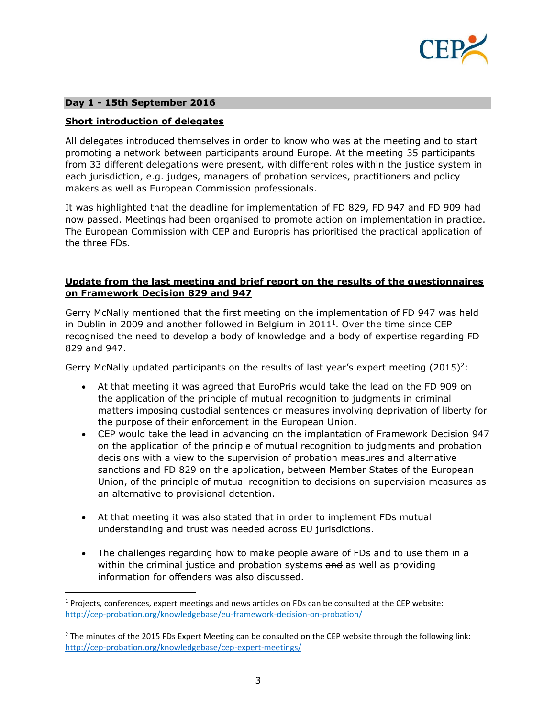

### **Day 1 - 15th September 2016**

l

## **Short introduction of delegates**

All delegates introduced themselves in order to know who was at the meeting and to start promoting a network between participants around Europe. At the meeting 35 participants from 33 different delegations were present, with different roles within the justice system in each jurisdiction, e.g. judges, managers of probation services, practitioners and policy makers as well as European Commission professionals.

It was highlighted that the deadline for implementation of FD 829, FD 947 and FD 909 had now passed. Meetings had been organised to promote action on implementation in practice. The European Commission with CEP and Europris has prioritised the practical application of the three FDs.

### **Update from the last meeting and brief report on the results of the questionnaires on Framework Decision 829 and 947**

Gerry McNally mentioned that the first meeting on the implementation of FD 947 was held in Dublin in 2009 and another followed in Belgium in  $2011<sup>1</sup>$ . Over the time since CEP recognised the need to develop a body of knowledge and a body of expertise regarding FD 829 and 947.

Gerry McNally updated participants on the results of last year's expert meeting (2015)<sup>2</sup>:

- At that meeting it was agreed that EuroPris would take the lead on the FD 909 on the application of the principle of mutual recognition to judgments in criminal matters imposing custodial sentences or measures involving deprivation of liberty for the purpose of their enforcement in the European Union.
- CEP would take the lead in advancing on the implantation of Framework Decision 947 on the application of the principle of mutual recognition to judgments and probation decisions with a view to the supervision of probation measures and alternative sanctions and FD 829 on the application, between Member States of the European Union, of the principle of mutual recognition to decisions on supervision measures as an alternative to provisional detention.
- At that meeting it was also stated that in order to implement FDs mutual understanding and trust was needed across EU jurisdictions.
- The challenges regarding how to make people aware of FDs and to use them in a within the criminal justice and probation systems and as well as providing information for offenders was also discussed.

 $1$  Projects, conferences, expert meetings and news articles on FDs can be consulted at the CEP website: <http://cep-probation.org/knowledgebase/eu-framework-decision-on-probation/>

 $<sup>2</sup>$  The minutes of the 2015 FDs Expert Meeting can be consulted on the CEP website through the following link:</sup> <http://cep-probation.org/knowledgebase/cep-expert-meetings/>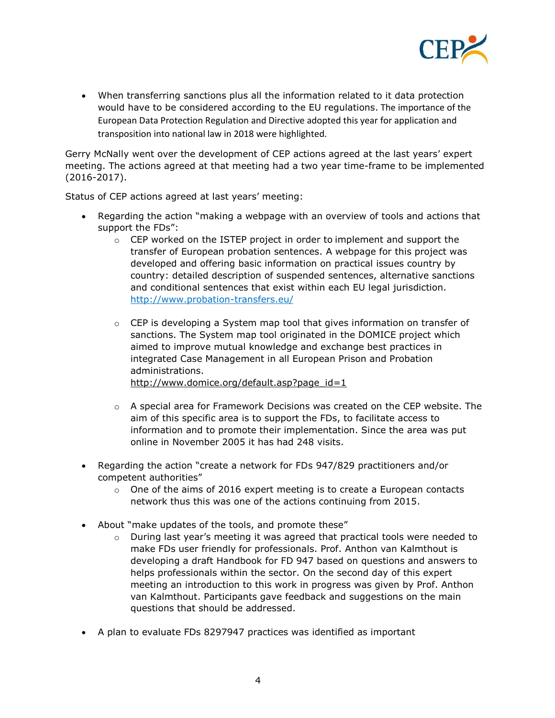

 When transferring sanctions plus all the information related to it data protection would have to be considered according to the EU regulations. The importance of the European Data Protection Regulation and Directive adopted this year for application and transposition into national law in 2018 were highlighted.

Gerry McNally went over the development of CEP actions agreed at the last years' expert meeting. The actions agreed at that meeting had a two year time-frame to be implemented (2016-2017).

Status of CEP actions agreed at last years' meeting:

- Regarding the action "making a webpage with an overview of tools and actions that support the FDs":
	- $\circ$  CEP worked on the ISTEP project in order to implement and support the transfer of European probation sentences. A webpage for this project was developed and offering basic information on practical issues country by country: detailed description of suspended sentences, alternative sanctions and conditional sentences that exist within each EU legal jurisdiction. <http://www.probation-transfers.eu/>
	- $\circ$  CEP is developing a System map tool that gives information on transfer of sanctions. The System map tool originated in the DOMICE project which aimed to improve mutual knowledge and exchange best practices in integrated Case Management in all European Prison and Probation administrations. [http://www.domice.org/default.asp?page\\_id=1](http://www.domice.org/default.asp?page_id=1)
	- $\circ$  A special area for Framework Decisions was created on the CEP website. The aim of this specific area is to support the FDs, to facilitate access to information and to promote their implementation. Since the area was put online in November 2005 it has had 248 visits.
- Regarding the action "create a network for FDs 947/829 practitioners and/or competent authorities"
	- $\circ$  One of the aims of 2016 expert meeting is to create a European contacts network thus this was one of the actions continuing from 2015.
- About "make updates of the tools, and promote these"
	- $\circ$  During last year's meeting it was agreed that practical tools were needed to make FDs user friendly for professionals. Prof. Anthon van Kalmthout is developing a draft Handbook for FD 947 based on questions and answers to helps professionals within the sector. On the second day of this expert meeting an introduction to this work in progress was given by Prof. Anthon van Kalmthout. Participants gave feedback and suggestions on the main questions that should be addressed.
- A plan to evaluate FDs 8297947 practices was identified as important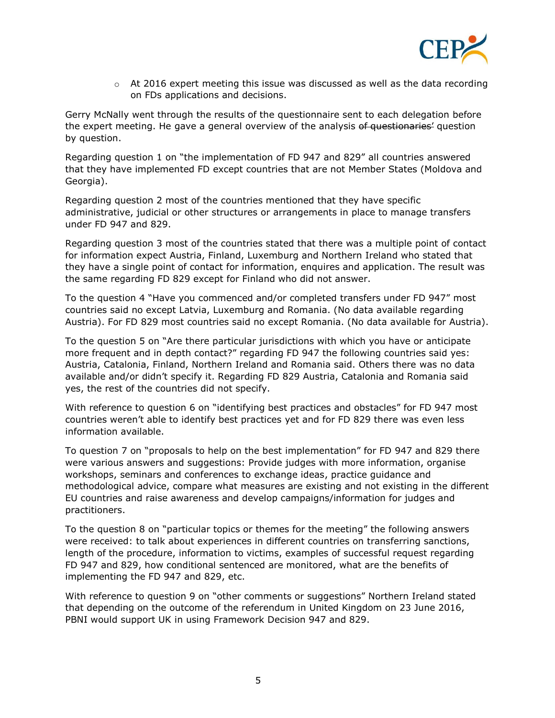

 $\circ$  At 2016 expert meeting this issue was discussed as well as the data recording on FDs applications and decisions.

Gerry McNally went through the results of the questionnaire sent to each delegation before the expert meeting. He gave a general overview of the analysis of questionaries' question by question.

Regarding question 1 on "the implementation of FD 947 and 829" all countries answered that they have implemented FD except countries that are not Member States (Moldova and Georgia).

Regarding question 2 most of the countries mentioned that they have specific administrative, judicial or other structures or arrangements in place to manage transfers under FD 947 and 829.

Regarding question 3 most of the countries stated that there was a multiple point of contact for information expect Austria, Finland, Luxemburg and Northern Ireland who stated that they have a single point of contact for information, enquires and application. The result was the same regarding FD 829 except for Finland who did not answer.

To the question 4 "Have you commenced and/or completed transfers under FD 947" most countries said no except Latvia, Luxemburg and Romania. (No data available regarding Austria). For FD 829 most countries said no except Romania. (No data available for Austria).

To the question 5 on "Are there particular jurisdictions with which you have or anticipate more frequent and in depth contact?" regarding FD 947 the following countries said yes: Austria, Catalonia, Finland, Northern Ireland and Romania said. Others there was no data available and/or didn't specify it. Regarding FD 829 Austria, Catalonia and Romania said yes, the rest of the countries did not specify.

With reference to question 6 on "identifying best practices and obstacles" for FD 947 most countries weren't able to identify best practices yet and for FD 829 there was even less information available.

To question 7 on "proposals to help on the best implementation" for FD 947 and 829 there were various answers and suggestions: Provide judges with more information, organise workshops, seminars and conferences to exchange ideas, practice guidance and methodological advice, compare what measures are existing and not existing in the different EU countries and raise awareness and develop campaigns/information for judges and practitioners.

To the question 8 on "particular topics or themes for the meeting" the following answers were received: to talk about experiences in different countries on transferring sanctions, length of the procedure, information to victims, examples of successful request regarding FD 947 and 829, how conditional sentenced are monitored, what are the benefits of implementing the FD 947 and 829, etc.

With reference to question 9 on "other comments or suggestions" Northern Ireland stated that depending on the outcome of the referendum in United Kingdom on 23 June 2016, PBNI would support UK in using Framework Decision 947 and 829.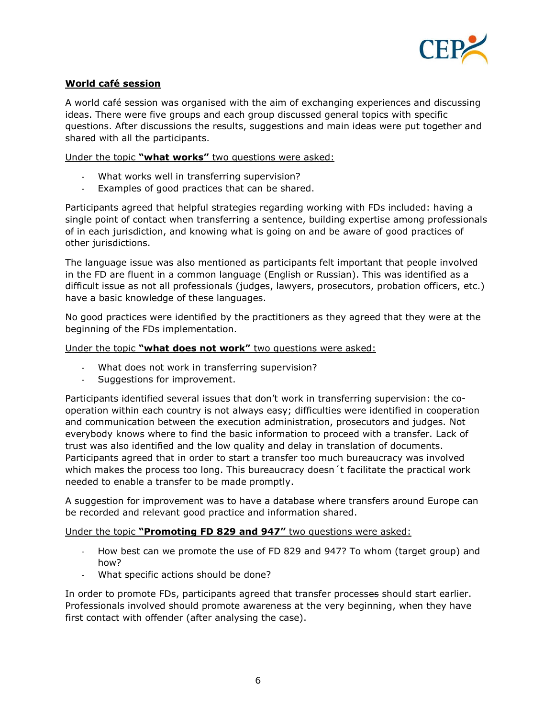

## **World café session**

A world café session was organised with the aim of exchanging experiences and discussing ideas. There were five groups and each group discussed general topics with specific questions. After discussions the results, suggestions and main ideas were put together and shared with all the participants.

Under the topic **"what works"** two questions were asked:

- What works well in transferring supervision?
- Examples of good practices that can be shared.

Participants agreed that helpful strategies regarding working with FDs included: having a single point of contact when transferring a sentence, building expertise among professionals of in each jurisdiction, and knowing what is going on and be aware of good practices of other jurisdictions.

The language issue was also mentioned as participants felt important that people involved in the FD are fluent in a common language (English or Russian). This was identified as a difficult issue as not all professionals (judges, lawyers, prosecutors, probation officers, etc.) have a basic knowledge of these languages.

No good practices were identified by the practitioners as they agreed that they were at the beginning of the FDs implementation.

#### Under the topic **"what does not work"** two questions were asked:

- What does not work in transferring supervision?
- Suggestions for improvement.

Participants identified several issues that don't work in transferring supervision: the cooperation within each country is not always easy; difficulties were identified in cooperation and communication between the execution administration, prosecutors and judges. Not everybody knows where to find the basic information to proceed with a transfer. Lack of trust was also identified and the low quality and delay in translation of documents. Participants agreed that in order to start a transfer too much bureaucracy was involved which makes the process too long. This bureaucracy doesn't facilitate the practical work needed to enable a transfer to be made promptly.

A suggestion for improvement was to have a database where transfers around Europe can be recorded and relevant good practice and information shared.

#### Under the topic **"Promoting FD 829 and 947"** two questions were asked:

- How best can we promote the use of FD 829 and 947? To whom (target group) and how?
- What specific actions should be done?

In order to promote FDs, participants agreed that transfer processes should start earlier. Professionals involved should promote awareness at the very beginning, when they have first contact with offender (after analysing the case).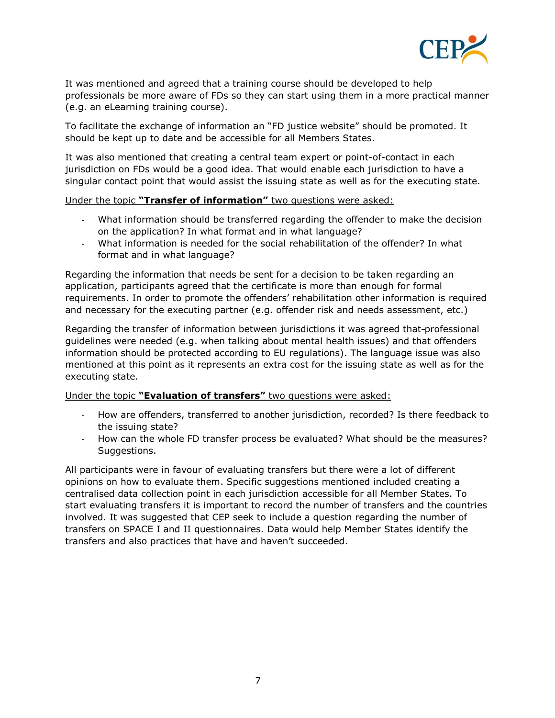

It was mentioned and agreed that a training course should be developed to help professionals be more aware of FDs so they can start using them in a more practical manner (e.g. an eLearning training course).

To facilitate the exchange of information an "FD justice website" should be promoted. It should be kept up to date and be accessible for all Members States.

It was also mentioned that creating a central team expert or point-of-contact in each jurisdiction on FDs would be a good idea. That would enable each jurisdiction to have a singular contact point that would assist the issuing state as well as for the executing state.

#### Under the topic **"Transfer of information"** two questions were asked:

- What information should be transferred regarding the offender to make the decision on the application? In what format and in what language?
- What information is needed for the social rehabilitation of the offender? In what format and in what language?

Regarding the information that needs be sent for a decision to be taken regarding an application, participants agreed that the certificate is more than enough for formal requirements. In order to promote the offenders' rehabilitation other information is required and necessary for the executing partner (e.g. offender risk and needs assessment, etc.)

Regarding the transfer of information between jurisdictions it was agreed that-professional guidelines were needed (e.g. when talking about mental health issues) and that offenders information should be protected according to EU regulations). The language issue was also mentioned at this point as it represents an extra cost for the issuing state as well as for the executing state.

#### Under the topic **"Evaluation of transfers"** two questions were asked:

- How are offenders, transferred to another jurisdiction, recorded? Is there feedback to the issuing state?
- How can the whole FD transfer process be evaluated? What should be the measures? Suggestions.

All participants were in favour of evaluating transfers but there were a lot of different opinions on how to evaluate them. Specific suggestions mentioned included creating a centralised data collection point in each jurisdiction accessible for all Member States. To start evaluating transfers it is important to record the number of transfers and the countries involved. It was suggested that CEP seek to include a question regarding the number of transfers on SPACE I and II questionnaires. Data would help Member States identify the transfers and also practices that have and haven't succeeded.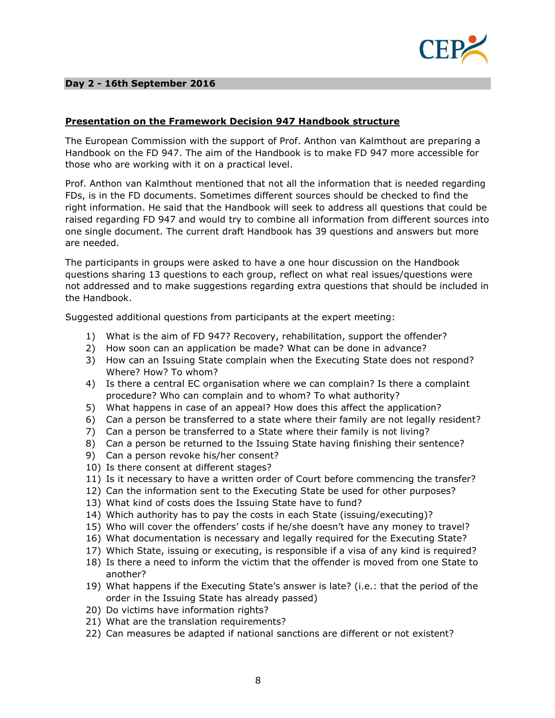

### **Day 2 - 16th September 2016**

## **Presentation on the Framework Decision 947 Handbook structure**

The European Commission with the support of Prof. Anthon van Kalmthout are preparing a Handbook on the FD 947. The aim of the Handbook is to make FD 947 more accessible for those who are working with it on a practical level.

Prof. Anthon van Kalmthout mentioned that not all the information that is needed regarding FDs, is in the FD documents. Sometimes different sources should be checked to find the right information. He said that the Handbook will seek to address all questions that could be raised regarding FD 947 and would try to combine all information from different sources into one single document. The current draft Handbook has 39 questions and answers but more are needed.

The participants in groups were asked to have a one hour discussion on the Handbook questions sharing 13 questions to each group, reflect on what real issues/questions were not addressed and to make suggestions regarding extra questions that should be included in the Handbook.

Suggested additional questions from participants at the expert meeting:

- 1) What is the aim of FD 947? Recovery, rehabilitation, support the offender?
- 2) How soon can an application be made? What can be done in advance?
- 3) How can an Issuing State complain when the Executing State does not respond? Where? How? To whom?
- 4) Is there a central EC organisation where we can complain? Is there a complaint procedure? Who can complain and to whom? To what authority?
- 5) What happens in case of an appeal? How does this affect the application?
- 6) Can a person be transferred to a state where their family are not legally resident?
- 7) Can a person be transferred to a State where their family is not living?
- 8) Can a person be returned to the Issuing State having finishing their sentence?
- 9) Can a person revoke his/her consent?
- 10) Is there consent at different stages?
- 11) Is it necessary to have a written order of Court before commencing the transfer?
- 12) Can the information sent to the Executing State be used for other purposes?
- 13) What kind of costs does the Issuing State have to fund?
- 14) Which authority has to pay the costs in each State (issuing/executing)?
- 15) Who will cover the offenders' costs if he/she doesn't have any money to travel?
- 16) What documentation is necessary and legally required for the Executing State?
- 17) Which State, issuing or executing, is responsible if a visa of any kind is required?
- 18) Is there a need to inform the victim that the offender is moved from one State to another?
- 19) What happens if the Executing State's answer is late? (i.e.: that the period of the order in the Issuing State has already passed)
- 20) Do victims have information rights?
- 21) What are the translation requirements?
- 22) Can measures be adapted if national sanctions are different or not existent?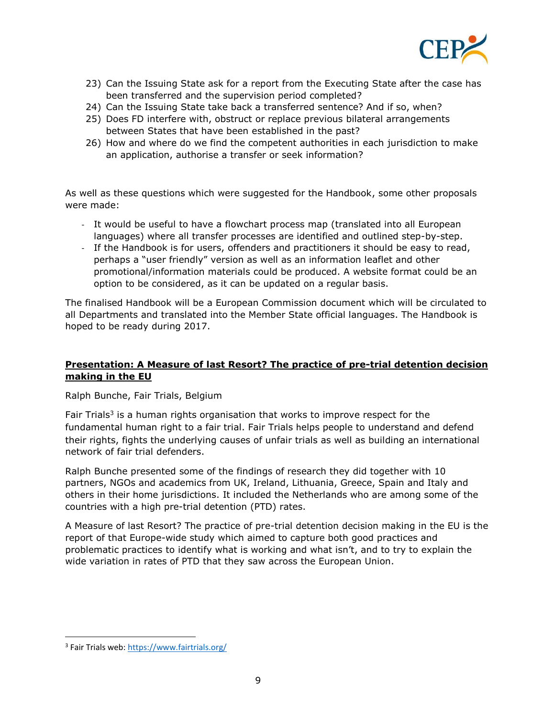

- 23) Can the Issuing State ask for a report from the Executing State after the case has been transferred and the supervision period completed?
- 24) Can the Issuing State take back a transferred sentence? And if so, when?
- 25) Does FD interfere with, obstruct or replace previous bilateral arrangements between States that have been established in the past?
- 26) How and where do we find the competent authorities in each jurisdiction to make an application, authorise a transfer or seek information?

As well as these questions which were suggested for the Handbook, some other proposals were made:

- It would be useful to have a flowchart process map (translated into all European languages) where all transfer processes are identified and outlined step-by-step.
- If the Handbook is for users, offenders and practitioners it should be easy to read, perhaps a "user friendly" version as well as an information leaflet and other promotional/information materials could be produced. A website format could be an option to be considered, as it can be updated on a regular basis.

The finalised Handbook will be a European Commission document which will be circulated to all Departments and translated into the Member State official languages. The Handbook is hoped to be ready during 2017.

# **Presentation: A Measure of last Resort? The practice of pre-trial detention decision making in the EU**

Ralph Bunche, Fair Trials, Belgium

Fair Trials<sup>3</sup> is a human rights organisation that works to improve respect for the fundamental human right to a fair trial. Fair Trials helps people to understand and defend their rights, fights the underlying causes of unfair trials as well as building an international network of fair trial defenders.

Ralph Bunche presented some of the findings of research they did together with 10 partners, NGOs and academics from UK, Ireland, Lithuania, Greece, Spain and Italy and others in their home jurisdictions. It included the Netherlands who are among some of the countries with a high pre-trial detention (PTD) rates.

A Measure of last Resort? The practice of pre-trial detention decision making in the EU is the report of that Europe-wide study which aimed to capture both good practices and problematic practices to identify what is working and what isn't, and to try to explain the wide variation in rates of PTD that they saw across the European Union.

 $\overline{\phantom{a}}$ 

<sup>&</sup>lt;sup>3</sup> Fair Trials web:<https://www.fairtrials.org/>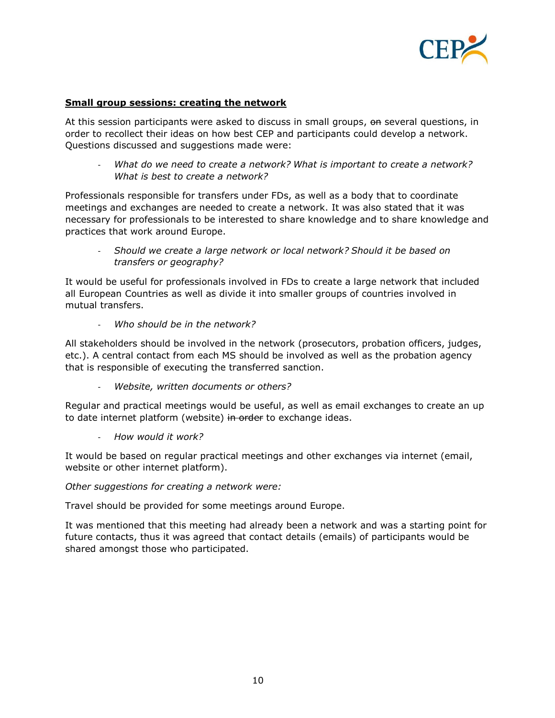

### **Small group sessions: creating the network**

At this session participants were asked to discuss in small groups, on several questions, in order to recollect their ideas on how best CEP and participants could develop a network. Questions discussed and suggestions made were:

- *What do we need to create a network? What is important to create a network? What is best to create a network?*

Professionals responsible for transfers under FDs, as well as a body that to coordinate meetings and exchanges are needed to create a network. It was also stated that it was necessary for professionals to be interested to share knowledge and to share knowledge and practices that work around Europe.

- *Should we create a large network or local network? Should it be based on transfers or geography?*

It would be useful for professionals involved in FDs to create a large network that included all European Countries as well as divide it into smaller groups of countries involved in mutual transfers.

- *Who should be in the network?*

All stakeholders should be involved in the network (prosecutors, probation officers, judges, etc.). A central contact from each MS should be involved as well as the probation agency that is responsible of executing the transferred sanction.

- *Website, written documents or others?*

Regular and practical meetings would be useful, as well as email exchanges to create an up to date internet platform (website) in order to exchange ideas.

- *How would it work?*

It would be based on regular practical meetings and other exchanges via internet (email, website or other internet platform).

*Other suggestions for creating a network were:*

Travel should be provided for some meetings around Europe.

It was mentioned that this meeting had already been a network and was a starting point for future contacts, thus it was agreed that contact details (emails) of participants would be shared amongst those who participated.